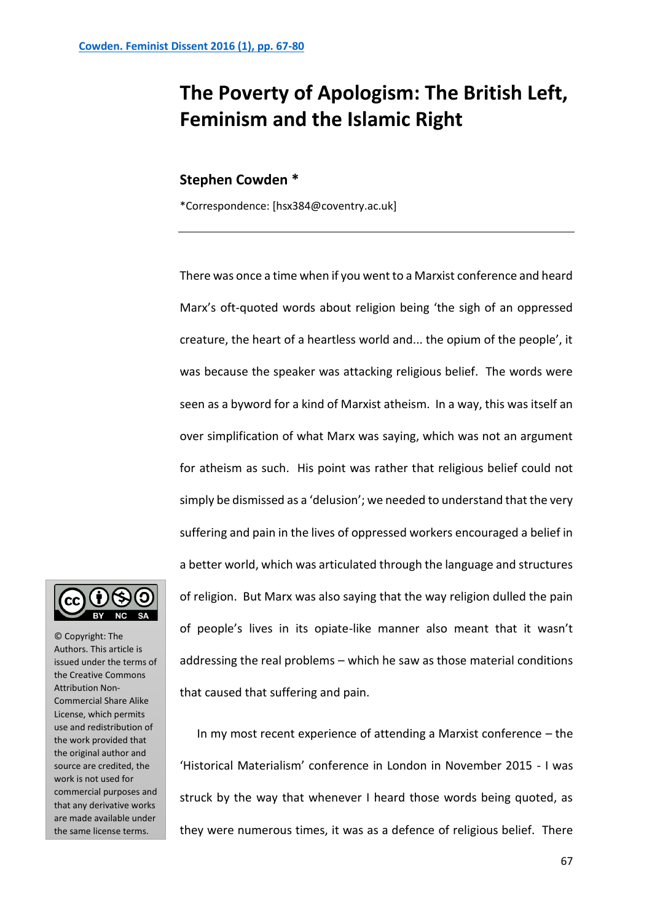## **The Poverty of Apologism: The British Left, Feminism and the Islamic Right**

## **Stephen Cowden \***

\*Correspondence: [hsx384@coventry.ac.uk]

There was once a time when if you went to a Marxist conference and heard Marx's oft-quoted words about religion being 'the sigh of an oppressed creature, the heart of a heartless world and... the opium of the people', it was because the speaker was attacking religious belief. The words were seen as a byword for a kind of Marxist atheism. In a way, this was itself an over simplification of what Marx was saying, which was not an argument for atheism as such. His point was rather that religious belief could not simply be dismissed as a 'delusion'; we needed to understand that the very suffering and pain in the lives of oppressed workers encouraged a belief in a better world, which was articulated through the language and structures of religion. But Marx was also saying that the way religion dulled the pain of people's lives in its opiate-like manner also meant that it wasn't addressing the real problems – which he saw as those material conditions that caused that suffering and pain.

In my most recent experience of attending a Marxist conference – the 'Historical Materialism' conference in London in November 2015 - I was struck by the way that whenever I heard those words being quoted, as they were numerous times, it was as a defence of religious belief. There



© Copyright: The Authors. This article is issued under the terms of the Creative Commons Attribution Non-Commercial Share Alike License, which permits use and redistribution of the work provided that the original author and source are credited, the work is not used for commercial purposes and that any derivative works are made available under the same license terms.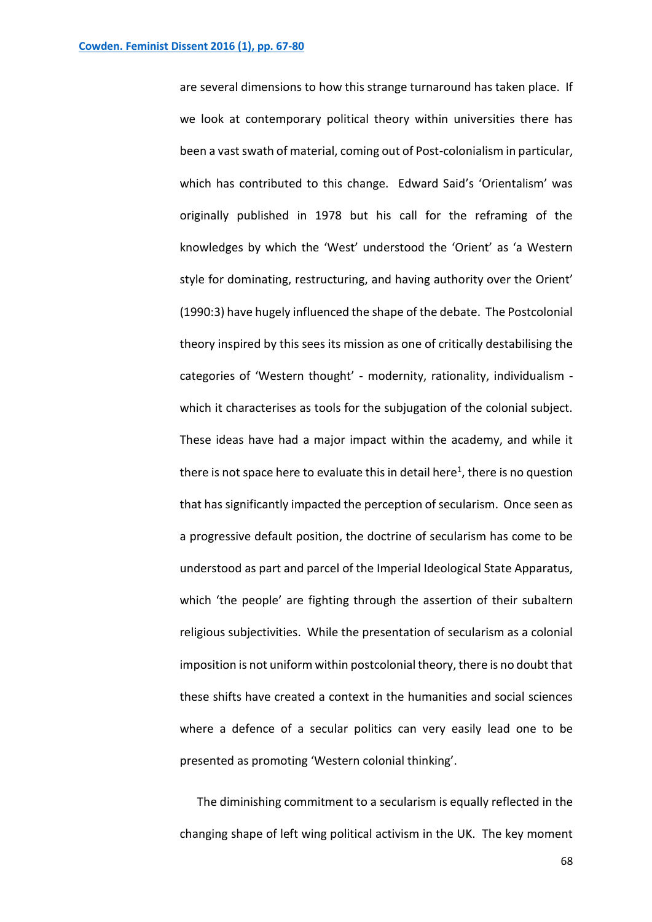are several dimensions to how this strange turnaround has taken place. If we look at contemporary political theory within universities there has been a vast swath of material, coming out of Post-colonialism in particular, which has contributed to this change. Edward Said's 'Orientalism' was originally published in 1978 but his call for the reframing of the knowledges by which the 'West' understood the 'Orient' as 'a Western style for dominating, restructuring, and having authority over the Orient' (1990:3) have hugely influenced the shape of the debate. The Postcolonial theory inspired by this sees its mission as one of critically destabilising the categories of 'Western thought' - modernity, rationality, individualism which it characterises as tools for the subjugation of the colonial subject. These ideas have had a major impact within the academy, and while it there is not space here to evaluate this in detail here<sup>1</sup>, there is no question that has significantly impacted the perception of secularism. Once seen as a progressive default position, the doctrine of secularism has come to be understood as part and parcel of the Imperial Ideological State Apparatus, which 'the people' are fighting through the assertion of their subaltern religious subjectivities. While the presentation of secularism as a colonial imposition is not uniform within postcolonial theory, there is no doubt that these shifts have created a context in the humanities and social sciences where a defence of a secular politics can very easily lead one to be presented as promoting 'Western colonial thinking'.

The diminishing commitment to a secularism is equally reflected in the changing shape of left wing political activism in the UK. The key moment

68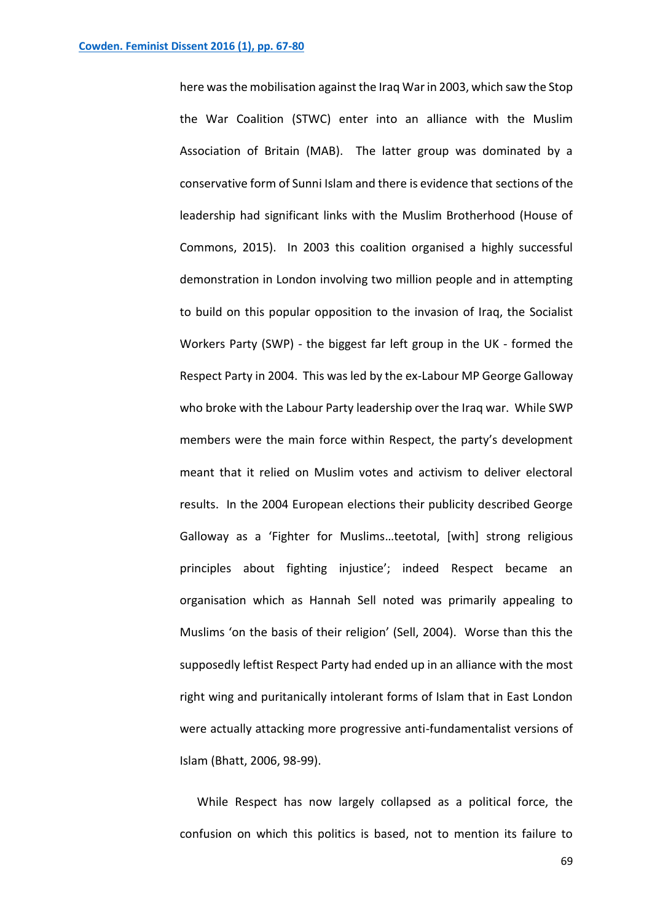here was the mobilisation against the Iraq War in 2003, which saw the Stop the War Coalition (STWC) enter into an alliance with the Muslim Association of Britain (MAB). The latter group was dominated by a conservative form of Sunni Islam and there is evidence that sections of the leadership had significant links with the Muslim Brotherhood (House of Commons, 2015). In 2003 this coalition organised a highly successful demonstration in London involving two million people and in attempting to build on this popular opposition to the invasion of Iraq, the Socialist Workers Party (SWP) - the biggest far left group in the UK - formed the Respect Party in 2004. This was led by the ex-Labour MP George Galloway who broke with the Labour Party leadership over the Iraq war. While SWP members were the main force within Respect, the party's development meant that it relied on Muslim votes and activism to deliver electoral results. In the 2004 European elections their publicity described George Galloway as a 'Fighter for Muslims…teetotal, [with] strong religious principles about fighting injustice'; indeed Respect became an organisation which as Hannah Sell noted was primarily appealing to Muslims 'on the basis of their religion' (Sell, 2004). Worse than this the supposedly leftist Respect Party had ended up in an alliance with the most right wing and puritanically intolerant forms of Islam that in East London were actually attacking more progressive anti-fundamentalist versions of Islam (Bhatt, 2006, 98-99).

While Respect has now largely collapsed as a political force, the confusion on which this politics is based, not to mention its failure to

69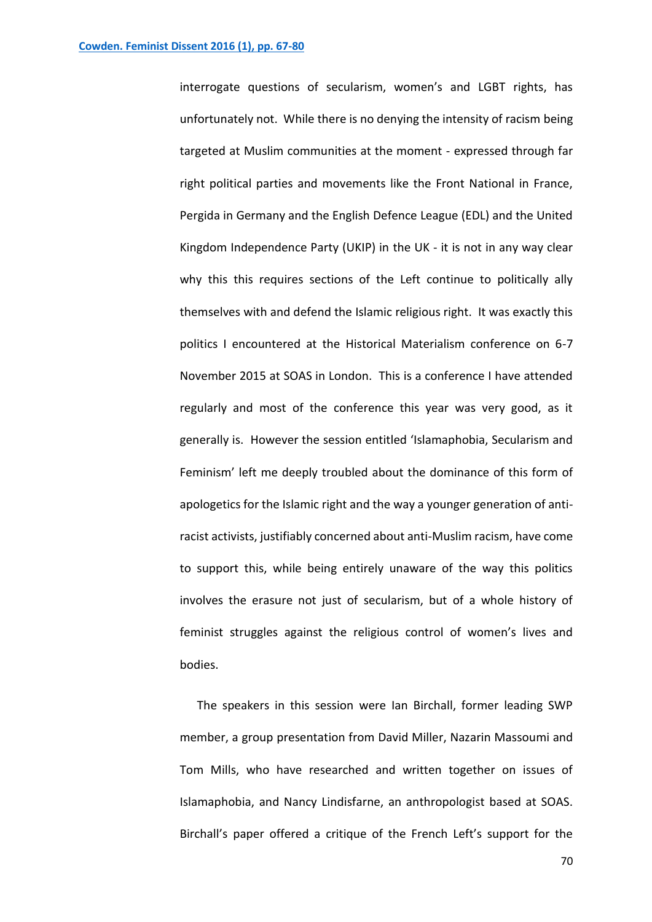interrogate questions of secularism, women's and LGBT rights, has unfortunately not. While there is no denying the intensity of racism being targeted at Muslim communities at the moment - expressed through far right political parties and movements like the Front National in France, Pergida in Germany and the English Defence League (EDL) and the United Kingdom Independence Party (UKIP) in the UK - it is not in any way clear why this this requires sections of the Left continue to politically ally themselves with and defend the Islamic religious right. It was exactly this politics I encountered at the Historical Materialism conference on 6-7 November 2015 at SOAS in London. This is a conference I have attended regularly and most of the conference this year was very good, as it generally is. However the session entitled 'Islamaphobia, Secularism and Feminism' left me deeply troubled about the dominance of this form of apologetics for the Islamic right and the way a younger generation of antiracist activists, justifiably concerned about anti-Muslim racism, have come to support this, while being entirely unaware of the way this politics involves the erasure not just of secularism, but of a whole history of feminist struggles against the religious control of women's lives and bodies.

The speakers in this session were Ian Birchall, former leading SWP member, a group presentation from David Miller, Nazarin Massoumi and Tom Mills, who have researched and written together on issues of Islamaphobia, and Nancy Lindisfarne, an anthropologist based at SOAS. Birchall's paper offered a critique of the French Left's support for the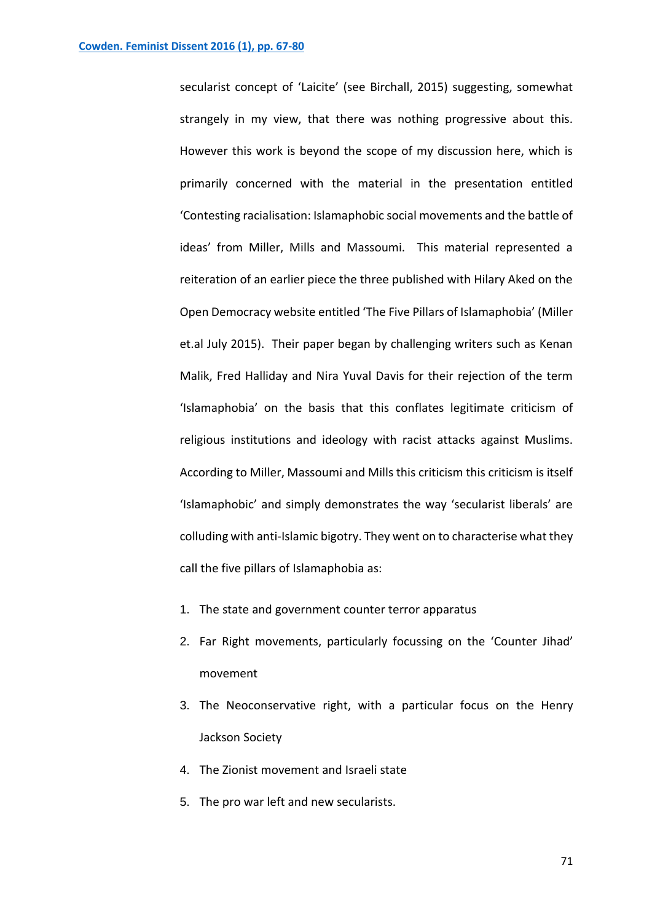secularist concept of 'Laicite' (see Birchall, 2015) suggesting, somewhat strangely in my view, that there was nothing progressive about this. However this work is beyond the scope of my discussion here, which is primarily concerned with the material in the presentation entitled 'Contesting racialisation: Islamaphobic social movements and the battle of ideas' from Miller, Mills and Massoumi. This material represented a reiteration of an earlier piece the three published with Hilary Aked on the Open Democracy website entitled 'The Five Pillars of Islamaphobia' (Miller et.al July 2015). Their paper began by challenging writers such as Kenan Malik, Fred Halliday and Nira Yuval Davis for their rejection of the term 'Islamaphobia' on the basis that this conflates legitimate criticism of religious institutions and ideology with racist attacks against Muslims. According to Miller, Massoumi and Mills this criticism this criticism is itself 'Islamaphobic' and simply demonstrates the way 'secularist liberals' are colluding with anti-Islamic bigotry. They went on to characterise what they call the five pillars of Islamaphobia as:

- 1. The state and government counter terror apparatus
- 2. Far Right movements, particularly focussing on the 'Counter Jihad' movement
- 3. The Neoconservative right, with a particular focus on the Henry Jackson Society
- 4. The Zionist movement and Israeli state
- 5. The pro war left and new secularists.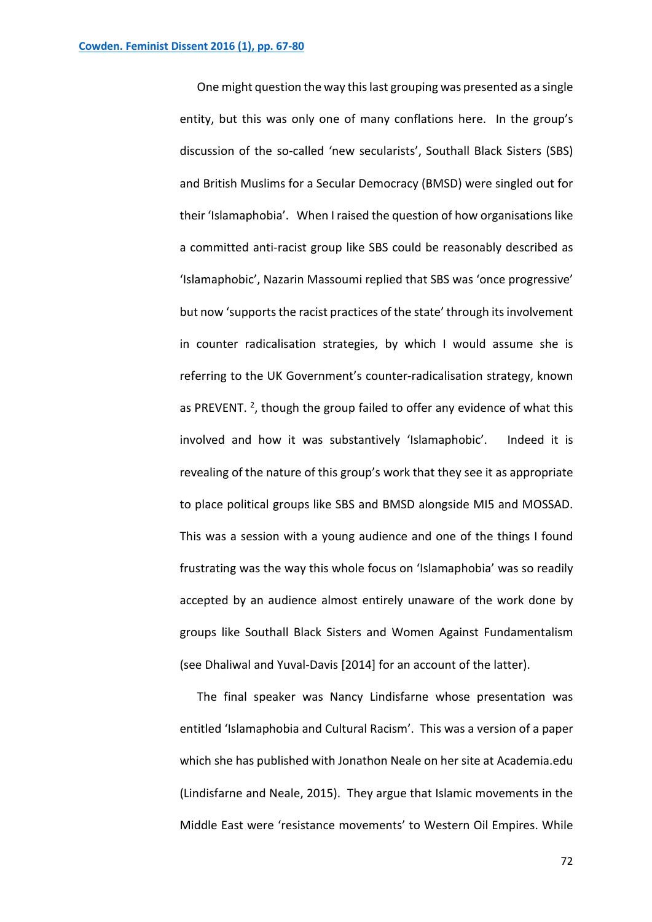One might question the way thislast grouping was presented as a single entity, but this was only one of many conflations here. In the group's discussion of the so-called 'new secularists', Southall Black Sisters (SBS) and British Muslims for a Secular Democracy (BMSD) were singled out for their 'Islamaphobia'. When I raised the question of how organisations like a committed anti-racist group like SBS could be reasonably described as 'Islamaphobic', Nazarin Massoumi replied that SBS was 'once progressive' but now 'supports the racist practices of the state' through its involvement in counter radicalisation strategies, by which I would assume she is referring to the UK Government's counter-radicalisation strategy, known as PREVENT.  $2$ , though the group failed to offer any evidence of what this involved and how it was substantively 'Islamaphobic'. Indeed it is revealing of the nature of this group's work that they see it as appropriate to place political groups like SBS and BMSD alongside MI5 and MOSSAD. This was a session with a young audience and one of the things I found frustrating was the way this whole focus on 'Islamaphobia' was so readily accepted by an audience almost entirely unaware of the work done by groups like Southall Black Sisters and Women Against Fundamentalism (see Dhaliwal and Yuval-Davis [2014] for an account of the latter).

The final speaker was Nancy Lindisfarne whose presentation was entitled 'Islamaphobia and Cultural Racism'. This was a version of a paper which she has published with Jonathon Neale on her site at Academia.edu (Lindisfarne and Neale, 2015). They argue that Islamic movements in the Middle East were 'resistance movements' to Western Oil Empires. While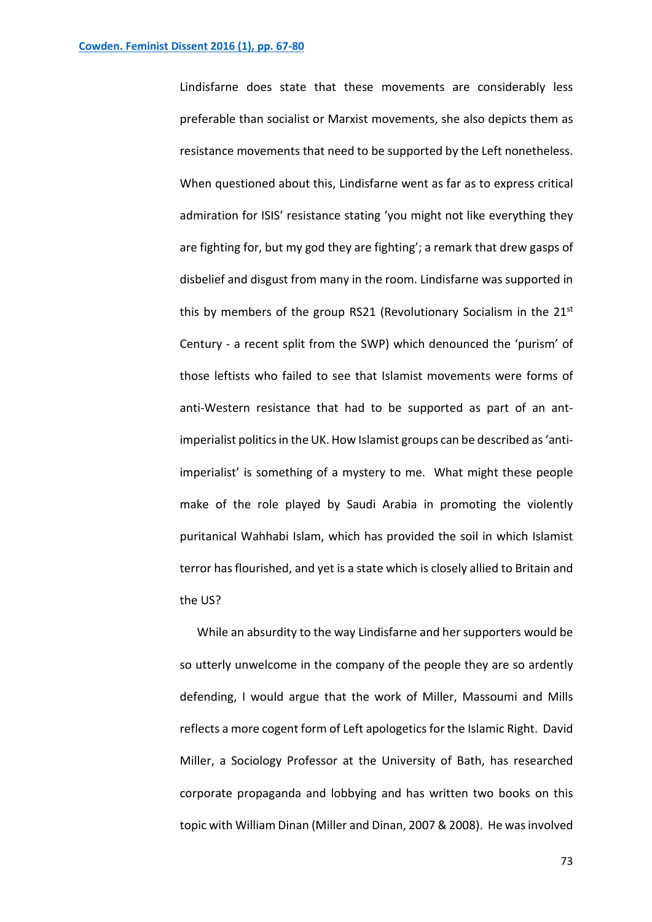Lindisfarne does state that these movements are considerably less preferable than socialist or Marxist movements, she also depicts them as resistance movements that need to be supported by the Left nonetheless. When questioned about this, Lindisfarne went as far as to express critical admiration for ISIS' resistance stating 'you might not like everything they are fighting for, but my god they are fighting'; a remark that drew gasps of disbelief and disgust from many in the room. Lindisfarne was supported in this by members of the group RS21 (Revolutionary Socialism in the 21<sup>st</sup> Century - a recent split from the SWP) which denounced the 'purism' of those leftists who failed to see that Islamist movements were forms of anti-Western resistance that had to be supported as part of an antimperialist politics in the UK. How Islamist groups can be described as 'antiimperialist' is something of a mystery to me. What might these people make of the role played by Saudi Arabia in promoting the violently puritanical Wahhabi Islam, which has provided the soil in which Islamist terror has flourished, and yet is a state which is closely allied to Britain and the US?

While an absurdity to the way Lindisfarne and her supporters would be so utterly unwelcome in the company of the people they are so ardently defending, I would argue that the work of Miller, Massoumi and Mills reflects a more cogent form of Left apologetics for the Islamic Right. David Miller, a Sociology Professor at the University of Bath, has researched corporate propaganda and lobbying and has written two books on this topic with William Dinan (Miller and Dinan, 2007 & 2008). He was involved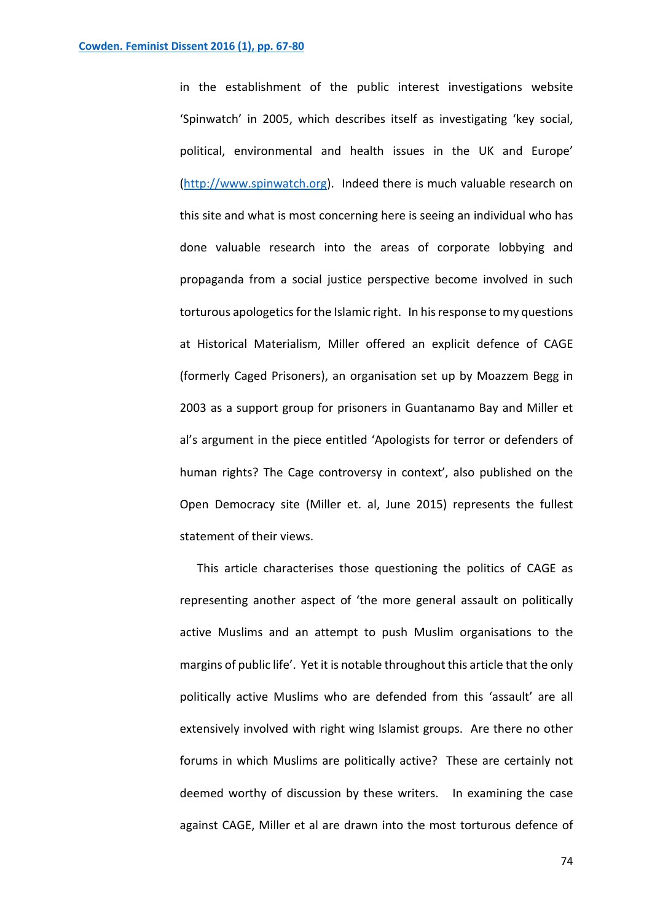in the establishment of the public interest investigations website 'Spinwatch' in 2005, which describes itself as investigating 'key social, political, environmental and health issues in the UK and Europe' [\(http://www.spinwatch.org\)](http://www.spinwatch.org/). Indeed there is much valuable research on this site and what is most concerning here is seeing an individual who has done valuable research into the areas of corporate lobbying and propaganda from a social justice perspective become involved in such torturous apologetics for the Islamic right. In his response to my questions at Historical Materialism, Miller offered an explicit defence of CAGE (formerly Caged Prisoners), an organisation set up by Moazzem Begg in 2003 as a support group for prisoners in Guantanamo Bay and Miller et al's argument in the piece entitled 'Apologists for terror or defenders of human rights? The Cage controversy in context', also published on the Open Democracy site (Miller et. al, June 2015) represents the fullest statement of their views.

This article characterises those questioning the politics of CAGE as representing another aspect of 'the more general assault on politically active Muslims and an attempt to push Muslim organisations to the margins of public life'. Yet it is notable throughout this article that the only politically active Muslims who are defended from this 'assault' are all extensively involved with right wing Islamist groups. Are there no other forums in which Muslims are politically active? These are certainly not deemed worthy of discussion by these writers. In examining the case against CAGE, Miller et al are drawn into the most torturous defence of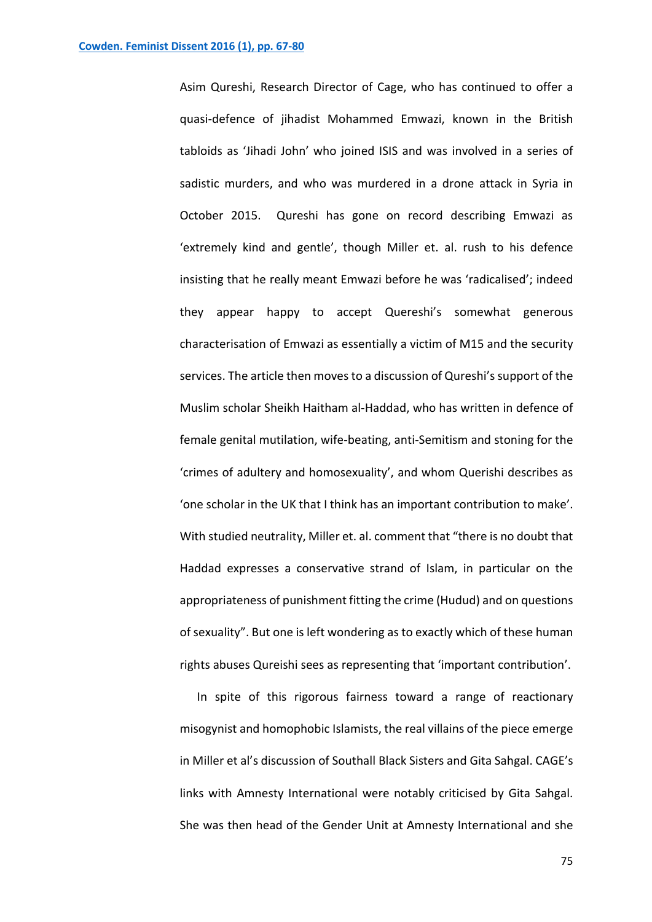Asim Qureshi, Research Director of Cage, who has continued to offer a quasi-defence of jihadist Mohammed Emwazi, known in the British tabloids as 'Jihadi John' who joined ISIS and was involved in a series of sadistic murders, and who was murdered in a drone attack in Syria in October 2015. Qureshi has gone on record describing Emwazi as 'extremely kind and gentle', though Miller et. al. rush to his defence insisting that he really meant Emwazi before he was 'radicalised'; indeed they appear happy to accept Quereshi's somewhat generous characterisation of Emwazi as essentially a victim of M15 and the security services. The article then moves to a discussion of Qureshi's support of the Muslim scholar Sheikh Haitham al-Haddad, who has written in defence of female genital mutilation, wife-beating, anti-Semitism and stoning for the 'crimes of adultery and homosexuality', and whom Querishi describes as 'one scholar in the UK that I think has an important contribution to make'. With studied neutrality, Miller et. al. comment that "there is no doubt that Haddad expresses a conservative strand of Islam, in particular on the appropriateness of punishment fitting the crime (Hudud) and on questions of sexuality". But one is left wondering as to exactly which of these human rights abuses Qureishi sees as representing that 'important contribution'.

In spite of this rigorous fairness toward a range of reactionary misogynist and homophobic Islamists, the real villains of the piece emerge in Miller et al's discussion of Southall Black Sisters and Gita Sahgal. CAGE's links with Amnesty International were notably criticised by Gita Sahgal. She was then head of the Gender Unit at Amnesty International and she

75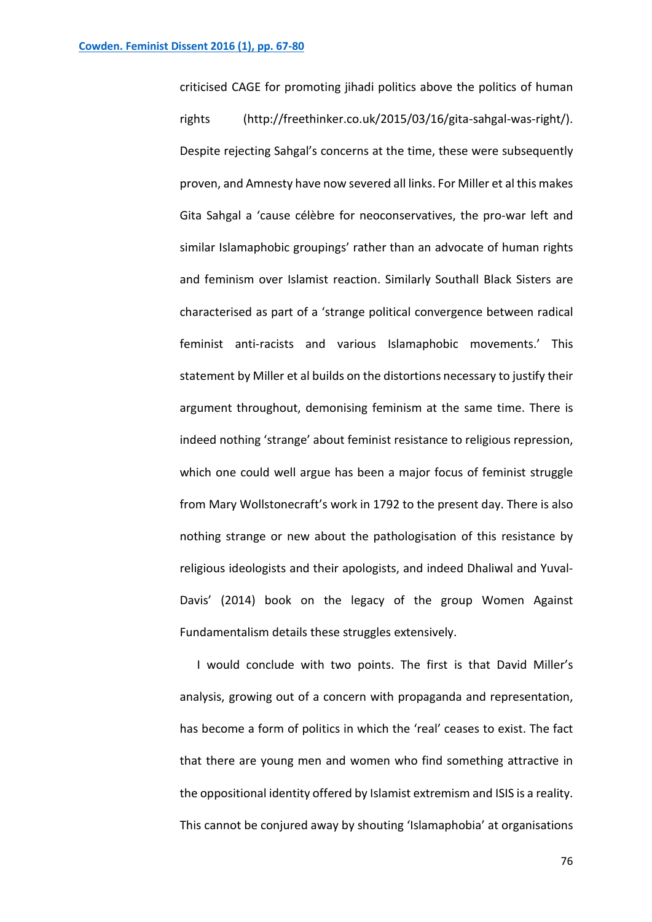criticised CAGE for promoting jihadi politics above the politics of human rights (http://freethinker.co.uk/2015/03/16/gita-sahgal-was-right/). Despite rejecting Sahgal's concerns at the time, these were subsequently proven, and Amnesty have now severed all links. For Miller et al this makes Gita Sahgal a 'cause célèbre for neoconservatives, the pro-war left and similar Islamaphobic groupings' rather than an advocate of human rights and feminism over Islamist reaction. Similarly Southall Black Sisters are characterised as part of a 'strange political convergence between radical feminist anti-racists and various Islamaphobic movements.' This statement by Miller et al builds on the distortions necessary to justify their argument throughout, demonising feminism at the same time. There is indeed nothing 'strange' about feminist resistance to religious repression, which one could well argue has been a major focus of feminist struggle from Mary Wollstonecraft's work in 1792 to the present day. There is also nothing strange or new about the pathologisation of this resistance by religious ideologists and their apologists, and indeed Dhaliwal and Yuval-Davis' (2014) book on the legacy of the group Women Against Fundamentalism details these struggles extensively.

I would conclude with two points. The first is that David Miller's analysis, growing out of a concern with propaganda and representation, has become a form of politics in which the 'real' ceases to exist. The fact that there are young men and women who find something attractive in the oppositional identity offered by Islamist extremism and ISIS is a reality. This cannot be conjured away by shouting 'Islamaphobia' at organisations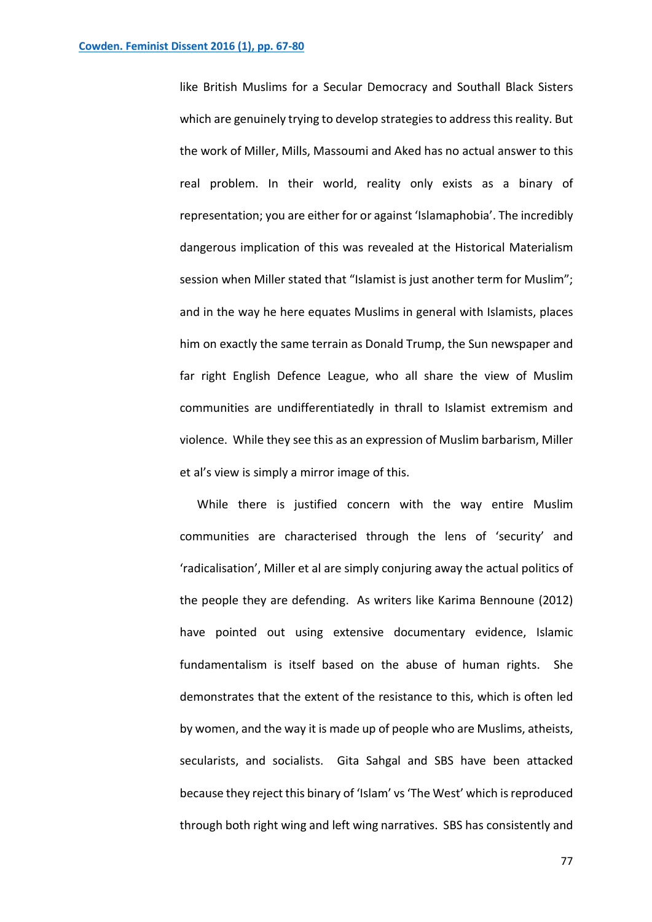like British Muslims for a Secular Democracy and Southall Black Sisters which are genuinely trying to develop strategies to address this reality. But the work of Miller, Mills, Massoumi and Aked has no actual answer to this real problem. In their world, reality only exists as a binary of representation; you are either for or against 'Islamaphobia'. The incredibly dangerous implication of this was revealed at the Historical Materialism session when Miller stated that "Islamist is just another term for Muslim"; and in the way he here equates Muslims in general with Islamists, places him on exactly the same terrain as Donald Trump, the Sun newspaper and far right English Defence League, who all share the view of Muslim communities are undifferentiatedly in thrall to Islamist extremism and violence. While they see this as an expression of Muslim barbarism, Miller et al's view is simply a mirror image of this.

While there is justified concern with the way entire Muslim communities are characterised through the lens of 'security' and 'radicalisation', Miller et al are simply conjuring away the actual politics of the people they are defending. As writers like Karima Bennoune (2012) have pointed out using extensive documentary evidence, Islamic fundamentalism is itself based on the abuse of human rights. She demonstrates that the extent of the resistance to this, which is often led by women, and the way it is made up of people who are Muslims, atheists, secularists, and socialists. Gita Sahgal and SBS have been attacked because they reject this binary of 'Islam' vs 'The West' which is reproduced through both right wing and left wing narratives. SBS has consistently and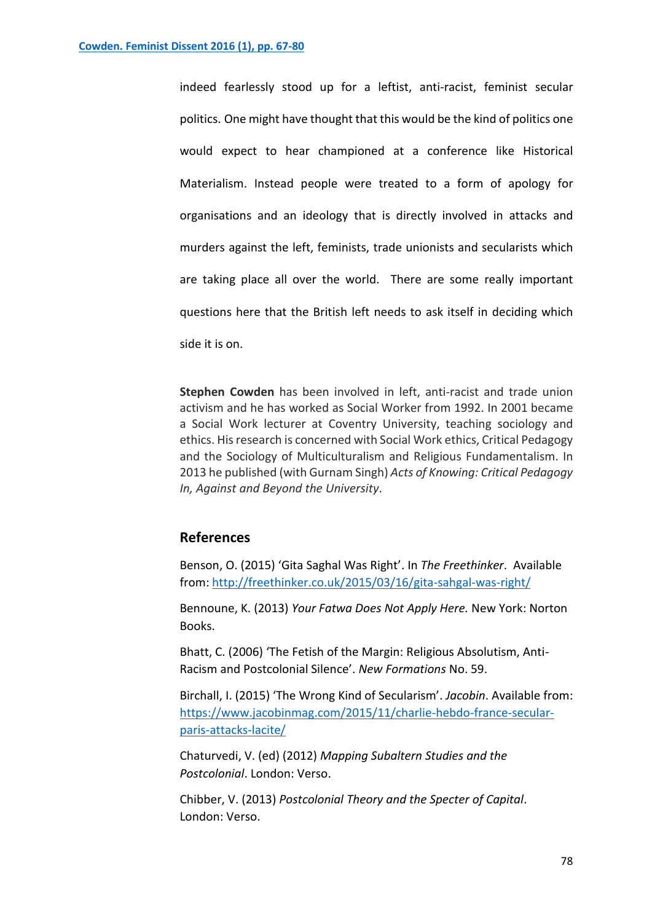indeed fearlessly stood up for a leftist, anti-racist, feminist secular politics. One might have thought that this would be the kind of politics one would expect to hear championed at a conference like Historical Materialism. Instead people were treated to a form of apology for organisations and an ideology that is directly involved in attacks and murders against the left, feminists, trade unionists and secularists which are taking place all over the world. There are some really important questions here that the British left needs to ask itself in deciding which side it is on.

**Stephen Cowden** has been involved in left, anti-racist and trade union activism and he has worked as Social Worker from 1992. In 2001 became a Social Work lecturer at Coventry University, teaching sociology and ethics. His research is concerned with Social Work ethics, Critical Pedagogy and the Sociology of Multiculturalism and Religious Fundamentalism. In 2013 he published (with Gurnam Singh) *Acts of Knowing: Critical Pedagogy In, Against and Beyond the University*.

## **References**

Benson, O. (2015) 'Gita Saghal Was Right'. In *The Freethinker*. Available from: <http://freethinker.co.uk/2015/03/16/gita-sahgal-was-right/>

Bennoune, K. (2013) *Your Fatwa Does Not Apply Here.* New York: Norton Books.

Bhatt, C. (2006) 'The Fetish of the Margin: Religious Absolutism, Anti-Racism and Postcolonial Silence'. *New Formations* No. 59.

Birchall, I. (2015) 'The Wrong Kind of Secularism'. *Jacobin*. Available from: [https://www.jacobinmag.com/2015/11/charlie-hebdo-france-secular](https://www.jacobinmag.com/2015/11/charlie-hebdo-france-secular-paris-attacks-lacite/)[paris-attacks-lacite/](https://www.jacobinmag.com/2015/11/charlie-hebdo-france-secular-paris-attacks-lacite/)

Chaturvedi, V. (ed) (2012) *Mapping Subaltern Studies and the Postcolonial*. London: Verso.

Chibber, V. (2013) *Postcolonial Theory and the Specter of Capital*. London: Verso.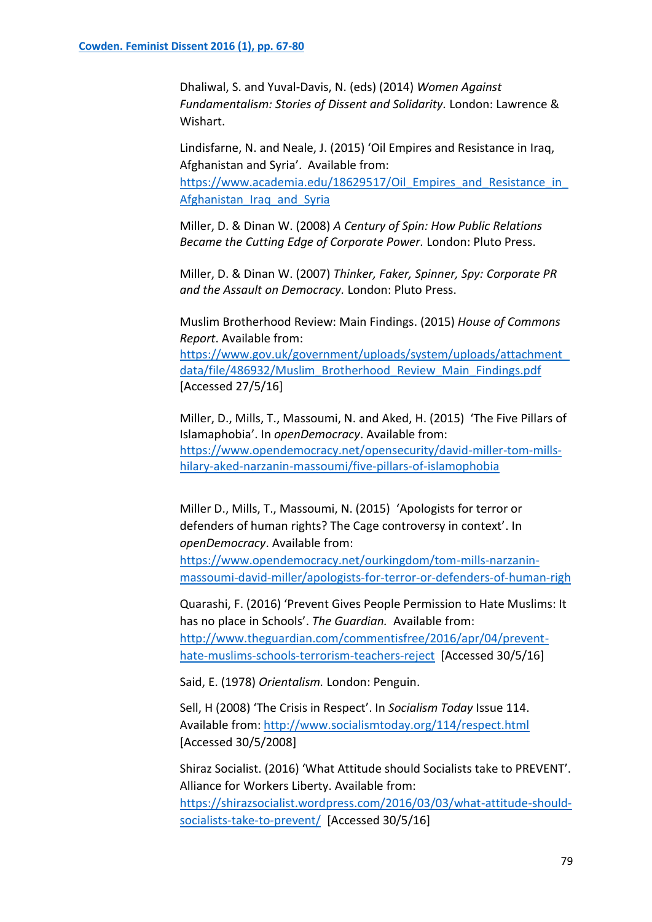Dhaliwal, S. and Yuval-Davis, N. (eds) (2014) *Women Against Fundamentalism: Stories of Dissent and Solidarity.* London: Lawrence & Wishart.

Lindisfarne, N. and Neale, J. (2015) 'Oil Empires and Resistance in Iraq, Afghanistan and Syria'. Available from: https://www.academia.edu/18629517/Oil Empires and Resistance in [Afghanistan\\_Iraq\\_and\\_Syria](https://www.academia.edu/18629517/Oil_Empires_and_Resistance_in_Afghanistan_Iraq_and_Syria)

Miller, D. & Dinan W. (2008) *A Century of Spin: How Public Relations Became the Cutting Edge of Corporate Power.* London: Pluto Press.

Miller, D. & Dinan W. (2007) *Thinker, Faker, Spinner, Spy: Corporate PR and the Assault on Democracy.* London: Pluto Press.

Muslim Brotherhood Review: Main Findings. (2015) *House of Commons Report*. Available from:

[https://www.gov.uk/government/uploads/system/uploads/attachment\\_](https://www.gov.uk/government/uploads/system/uploads/attachment_data/file/486932/Muslim_Brotherhood_Review_Main_Findings.pdf) [data/file/486932/Muslim\\_Brotherhood\\_Review\\_Main\\_Findings.pdf](https://www.gov.uk/government/uploads/system/uploads/attachment_data/file/486932/Muslim_Brotherhood_Review_Main_Findings.pdf) [Accessed 27/5/16]

Miller, D., Mills, T., Massoumi, N. and Aked, H. (2015) 'The Five Pillars of Islamaphobia'. In *openDemocracy*. Available from: [https://www.opendemocracy.net/opensecurity/david-miller-tom-mills](https://www.opendemocracy.net/opensecurity/david-miller-tom-mills-hilary-aked-narzanin-massoumi/five-pillars-of-islamophobia)[hilary-aked-narzanin-massoumi/five-pillars-of-islamophobia](https://www.opendemocracy.net/opensecurity/david-miller-tom-mills-hilary-aked-narzanin-massoumi/five-pillars-of-islamophobia)

Miller D., Mills, T., Massoumi, N. (2015) 'Apologists for terror or defenders of human rights? The Cage controversy in context'. In *openDemocracy*. Available from:

[https://www.opendemocracy.net/ourkingdom/tom-mills-narzanin](https://www.opendemocracy.net/ourkingdom/tom-mills-narzanin-massoumi-david-miller/apologists-for-terror-or-defenders-of-human-righ)[massoumi-david-miller/apologists-for-terror-or-defenders-of-human-righ](https://www.opendemocracy.net/ourkingdom/tom-mills-narzanin-massoumi-david-miller/apologists-for-terror-or-defenders-of-human-righ)

Quarashi, F. (2016) 'Prevent Gives People Permission to Hate Muslims: It has no place in Schools'. *The Guardian.* Available from: [http://www.theguardian.com/commentisfree/2016/apr/04/prevent](http://www.theguardian.com/commentisfree/2016/apr/04/prevent-hate-muslims-schools-terrorism-teachers-reject)[hate-muslims-schools-terrorism-teachers-reject](http://www.theguardian.com/commentisfree/2016/apr/04/prevent-hate-muslims-schools-terrorism-teachers-reject) [Accessed 30/5/16]

Said, E. (1978) *Orientalism.* London: Penguin.

Sell, H (2008) 'The Crisis in Respect'. In *Socialism Today* Issue 114. Available from: <http://www.socialismtoday.org/114/respect.html> [Accessed 30/5/2008]

Shiraz Socialist. (2016) 'What Attitude should Socialists take to PREVENT'. Alliance for Workers Liberty. Available from: [https://shirazsocialist.wordpress.com/2016/03/03/what-attitude-should](https://shirazsocialist.wordpress.com/2016/03/03/what-attitude-should-socialists-take-to-prevent/)[socialists-take-to-prevent/](https://shirazsocialist.wordpress.com/2016/03/03/what-attitude-should-socialists-take-to-prevent/) [Accessed 30/5/16]